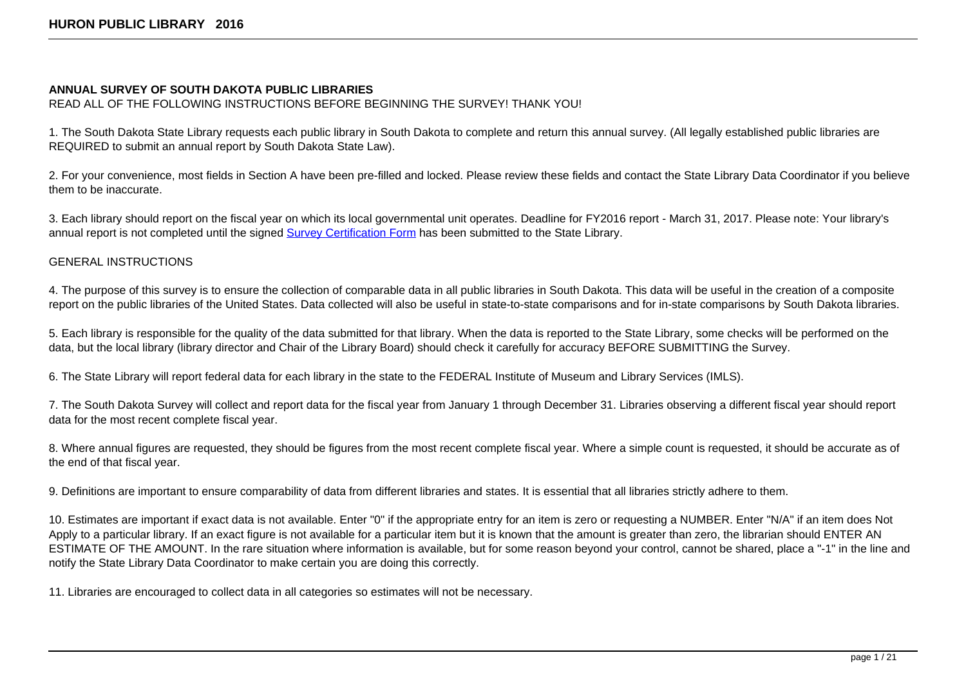## **ANNUAL SURVEY OF SOUTH DAKOTA PUBLIC LIBRARIES**

READ ALL OF THE FOLLOWING INSTRUCTIONS BEFORE BEGINNING THE SURVEY! THANK YOU!

1. The South Dakota State Library requests each public library in South Dakota to complete and return this annual survey. (All legally established public libraries are REQUIRED to submit an annual report by South Dakota State Law).

2. For your convenience, most fields in Section A have been pre-filled and locked. Please review these fields and contact the State Library Data Coordinator if you believe them to be inaccurate.

3. Each library should report on the fiscal year on which its local governmental unit operates. Deadline for FY2016 report - March 31, 2017. Please note: Your library's annual report is not completed until the signed [Survey Certification Form](https://sd.countingopinions.com/docs/sd/SD_Survey_Certification_Form_2016.pdf) has been submitted to the State Library.

# GENERAL INSTRUCTIONS

4. The purpose of this survey is to ensure the collection of comparable data in all public libraries in South Dakota. This data will be useful in the creation of a composite report on the public libraries of the United States. Data collected will also be useful in state-to-state comparisons and for in-state comparisons by South Dakota libraries.

5. Each library is responsible for the quality of the data submitted for that library. When the data is reported to the State Library, some checks will be performed on the data, but the local library (library director and Chair of the Library Board) should check it carefully for accuracy BEFORE SUBMITTING the Survey.

6. The State Library will report federal data for each library in the state to the FEDERAL Institute of Museum and Library Services (IMLS).

7. The South Dakota Survey will collect and report data for the fiscal year from January 1 through December 31. Libraries observing a different fiscal year should report data for the most recent complete fiscal year.

8. Where annual figures are requested, they should be figures from the most recent complete fiscal year. Where a simple count is requested, it should be accurate as of the end of that fiscal year.

9. Definitions are important to ensure comparability of data from different libraries and states. It is essential that all libraries strictly adhere to them.

10. Estimates are important if exact data is not available. Enter "0" if the appropriate entry for an item is zero or requesting a NUMBER. Enter "N/A" if an item does Not Apply to a particular library. If an exact figure is not available for a particular item but it is known that the amount is greater than zero, the librarian should ENTER AN ESTIMATE OF THE AMOUNT. In the rare situation where information is available, but for some reason beyond your control, cannot be shared, place a "-1" in the line and notify the State Library Data Coordinator to make certain you are doing this correctly.

11. Libraries are encouraged to collect data in all categories so estimates will not be necessary.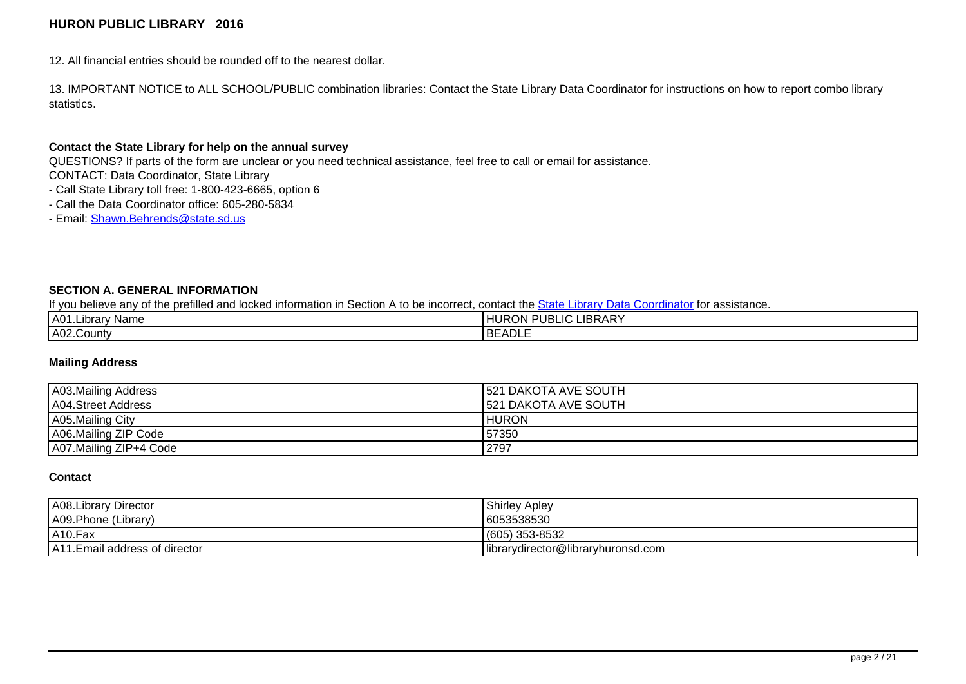12. All financial entries should be rounded off to the nearest dollar.

13. IMPORTANT NOTICE to ALL SCHOOL/PUBLIC combination libraries: Contact the State Library Data Coordinator for instructions on how to report combo library statistics.

### **Contact the State Library for help on the annual survey**

QUESTIONS? If parts of the form are unclear or you need technical assistance, feel free to call or email for assistance. CONTACT: Data Coordinator, State Library

- Call State Library toll free: 1-800-423-6665, option 6
- Call the Data Coordinator office: 605-280-5834
- Email: [Shawn.Behrends@state.sd.us](mailto:shawn.behrends@state.sd.us?Subject=Question%20about%20my%20annual%20report)

## **SECTION A. GENERAL INFORMATION**

If you believe any of the prefilled and locked information in Section A to be incorrect, contact the [State Library Data Coordinator](mailto:shawn.behrends@state.sd.us?Subject=Question%20about%20my%20annual%20report) for assistance.

| IA01.L.<br>: Name<br>ıbrar | LIBRARY<br><b>NPUBLIC</b><br>HURON |
|----------------------------|------------------------------------|
| A02.County                 | <b>BEADLE</b>                      |

## **Mailing Address**

| A03.Mailing Address    | <b>1521 DAKOTA AVE SOUTH</b> |
|------------------------|------------------------------|
| A04.Street Address     | <b>1521 DAKOTA AVE SOUTH</b> |
| A05.Mailing City       | HURON                        |
| A06.Mailing ZIP Code   | 57350                        |
| A07.Mailing ZIP+4 Code | 2797                         |

#### **Contact**

| A08.Library Director           | <b>Shirley Apley</b>               |
|--------------------------------|------------------------------------|
| A09.Phone (Library)            | 6053538530                         |
| AA0.Fax                        | (605) 353-8532                     |
| A11. Email address of director | librarydirector@libraryhuronsd.com |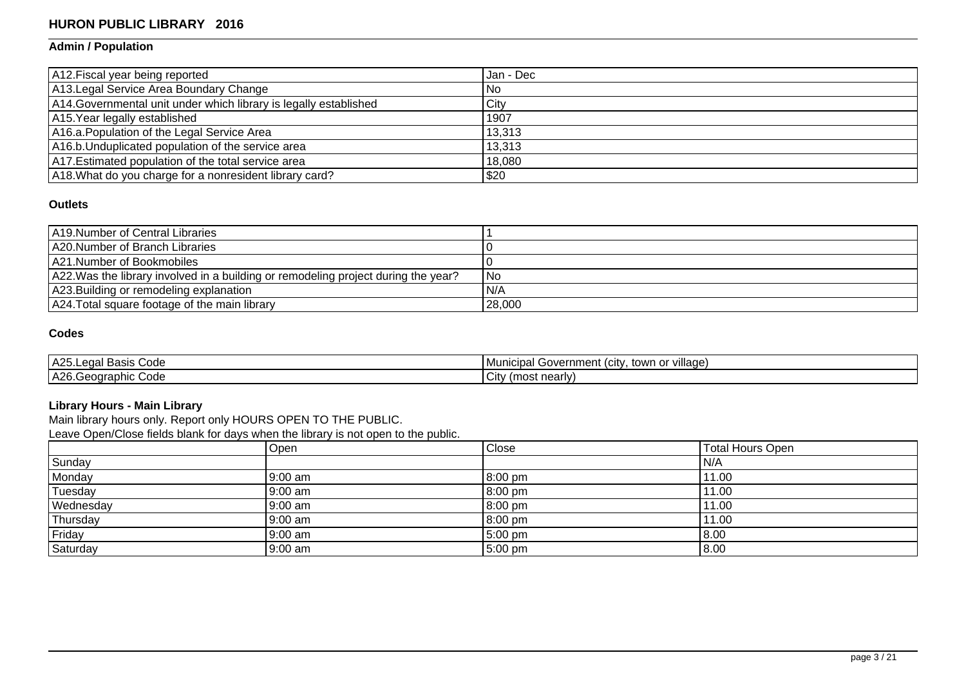# **Admin / Population**

| A12. Fiscal year being reported                                   | I Jan - Dec |
|-------------------------------------------------------------------|-------------|
| A13. Legal Service Area Boundary Change                           | l No        |
| A14. Governmental unit under which library is legally established | City        |
| A15. Year legally established                                     | 1907        |
| A16.a. Population of the Legal Service Area                       | 13,313      |
| A16.b. Unduplicated population of the service area                | 13,313      |
| A17. Estimated population of the total service area               | 18,080      |
| A18. What do you charge for a nonresident library card?           | \$20        |

## **Outlets**

| A19. Number of Central Libraries                                                   |        |
|------------------------------------------------------------------------------------|--------|
| A20.Number of Branch Libraries                                                     |        |
| LA21.Number of Bookmobiles                                                         |        |
| A22. Was the library involved in a building or remodeling project during the year? | l No   |
| A23. Building or remodeling explanation                                            | N/A    |
| A24. Total square footage of the main library                                      | 28,000 |

# **Codes**

| ハつに<br>Code<br>ega<br>Basis<br>.                  | or village.<br>overnmش<br>town<br>∵ntv<br>l Municipal<br>nani<br>' (Ch<br>יי ש |
|---------------------------------------------------|--------------------------------------------------------------------------------|
| $\triangle$<br>≧Code `<br>eographic<br>$\sim$<br> | $\sim$<br>(most nearly)<br>∫UN.                                                |

### **Library Hours - Main Library**

Main library hours only. Report only HOURS OPEN TO THE PUBLIC.

Leave Open/Close fields blank for days when the library is not open to the public.

|           | Open    | Close   | <b>Total Hours Open</b> |
|-----------|---------|---------|-------------------------|
| Sunday    |         |         | 'N/A                    |
| Monday    | 9:00 am | 8:00 pm | 11.00                   |
| Tuesday   | 9:00 am | 8:00 pm | 11.00                   |
| Wednesday | 9:00 am | 8:00 pm | 11.00                   |
| Thursday  | 9:00 am | 8:00 pm | 11.00                   |
| Friday    | 9:00 am | 5:00 pm | 8.00                    |
| Saturday  | 9:00 am | 5:00 pm | 8.00                    |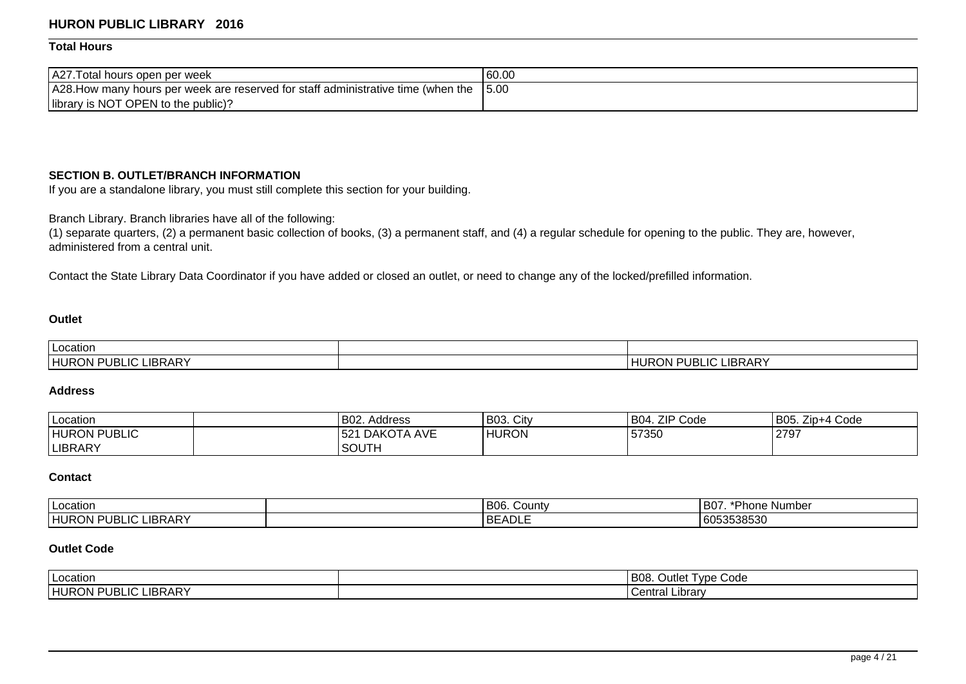## **Total Hours**

| A27. Total hours open per week                                                    | 60.00 |
|-----------------------------------------------------------------------------------|-------|
| A28. How many hours per week are reserved for staff administrative time (when the | 15.00 |
| library is NOT OPEN to the public)?                                               |       |

## **SECTION B. OUTLET/BRANCH INFORMATION**

If you are a standalone library, you must still complete this section for your building.

Branch Library. Branch libraries have all of the following:

(1) separate quarters, (2) a permanent basic collection of books, (3) a permanent staff, and (4) a regular schedule for opening to the public. They are, however, administered from a central unit.

Contact the State Library Data Coordinator if you have added or closed an outlet, or need to change any of the locked/prefilled information.

## **Outlet**

| I Location                             |                                                              |
|----------------------------------------|--------------------------------------------------------------|
| <b>LIBRARY</b><br>` PUBLIC .<br>HURON, | LIC LIBRARY<br>-11<br>$\cdot$ $\cdot$<br>. r. i<br>UBL<br>¬ட |

## **Address**

| Location            | B02. Address              | B03. City    | <b>ZIP Code</b><br>'B04. | B05. Zip+4 Code |
|---------------------|---------------------------|--------------|--------------------------|-----------------|
| <b>HURON PUBLIC</b> | <b>DAKOTA AVE</b><br>1521 | <b>HURON</b> | 57350                    | 2797            |
| <b>LIBRARY</b>      | 'SOUTH                    |              |                          |                 |

## **Contact**

| l Location                                                     | B06. County     | --<br>'B07<br>. .<br>: Number<br>Phone |
|----------------------------------------------------------------|-----------------|----------------------------------------|
| <b>LIBRARY</b><br>HURO'<br>$\sim$<br><b>RON PUBL</b><br>-1 U L | ו ורו<br>DEAULD | 6053538530                             |

# **Outlet Code**

| ∣ Location                                                     | B08.<br>$\sim$ $\sim$<br>∽<br>Type Code<br>Jutlet ' |  |
|----------------------------------------------------------------|-----------------------------------------------------|--|
| <b>LIBRARY</b><br><b>HURON</b><br>∵PUB∟<br>$\sim$<br>-10<br>.w | Library:<br>`ontro.<br>l velillal                   |  |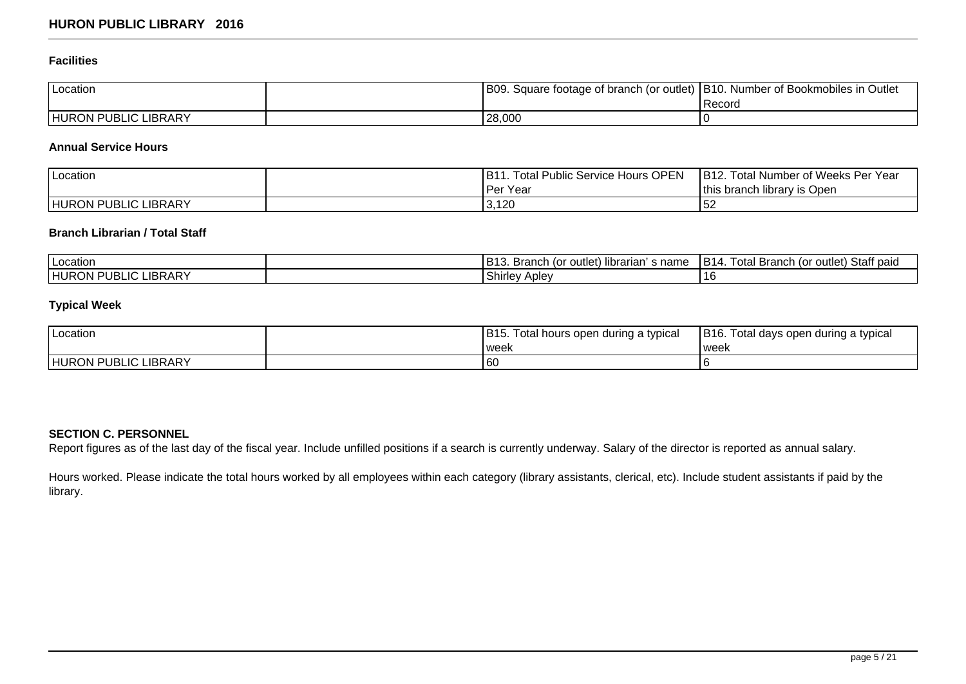## **Facilities**

| Location                    | B09.   | . Square footage of branch (or outlet)   B10. Number of Bookmobiles in Outlet |
|-----------------------------|--------|-------------------------------------------------------------------------------|
|                             |        | <b>Record</b>                                                                 |
| <b>HURON PUBLIC LIBRARY</b> | 28,000 |                                                                               |

# **Annual Service Hours**

| Location                    | <b>Total Public Service Hours OPEN</b><br>IB11. | IB12.<br>. Total Number of Weeks Per Year |
|-----------------------------|-------------------------------------------------|-------------------------------------------|
|                             | Per Year                                        | this branch library is Open               |
| <b>HURON PUBLIC LIBRARY</b> | 3,120                                           | 52                                        |

# **Branch Librarian / Total Staff**

| Location                                                              | <br>D40<br>s name<br>outle.<br>librarian<br>Branch (or<br>.כום | Staff paid<br>otal<br>D.<br>ັ′∩r outlet⊥ ⊂<br><b>Branch</b><br><b>B</b> 14 |
|-----------------------------------------------------------------------|----------------------------------------------------------------|----------------------------------------------------------------------------|
| <b>LIBRARY</b><br>IRI<br>$\overline{ }$<br>THURC<br>.UN '<br>ᇅ<br>UD. | Shirley<br>: Aplev                                             | . .                                                                        |

# **Typical Week**

| Location                    | B <sub>15</sub> .<br>Total hours open during a typical | IB16.<br>. Total days open during a typical |
|-----------------------------|--------------------------------------------------------|---------------------------------------------|
|                             | weel                                                   | ' week                                      |
| <b>HURON PUBLIC LIBRARY</b> | 60                                                     |                                             |

# **SECTION C. PERSONNEL**

Report figures as of the last day of the fiscal year. Include unfilled positions if a search is currently underway. Salary of the director is reported as annual salary.

Hours worked. Please indicate the total hours worked by all employees within each category (library assistants, clerical, etc). Include student assistants if paid by the library.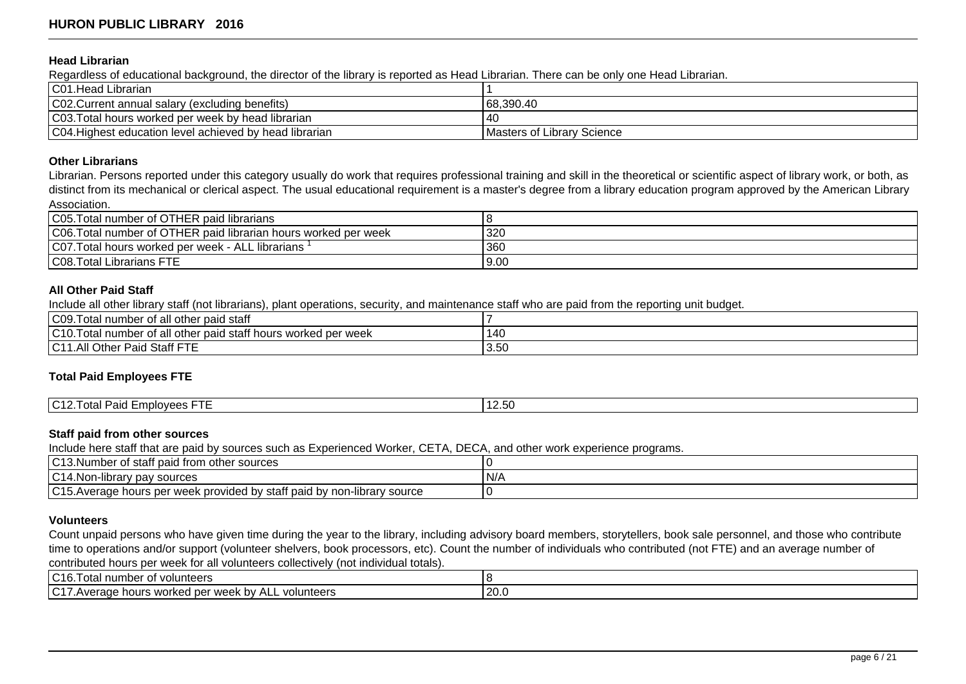#### **Head Librarian**

Regardless of educational background, the director of the library is reported as Head Librarian. There can be only one Head Librarian.

| C01. Head Librarian                                     |                            |
|---------------------------------------------------------|----------------------------|
| C02. Current annual salary (excluding benefits)         | 168.390.40                 |
| C03. Total hours worked per week by head librarian      | l 40                       |
| C04. Highest education level achieved by head librarian | Masters of Library Science |

#### **Other Librarians**

Librarian. Persons reported under this category usually do work that requires professional training and skill in the theoretical or scientific aspect of library work, or both, as distinct from its mechanical or clerical aspect. The usual educational requirement is a master's degree from a library education program approved by the American Library Association.

| C05. Total number of OTHER paid librarians                      |      |
|-----------------------------------------------------------------|------|
| C06. Total number of OTHER paid librarian hours worked per week | 320  |
| C07. Total hours worked per week - ALL librarians               | 360  |
| <b>C08. Total Librarians FTE</b>                                | 9.00 |

#### **All Other Paid Staff**

Include all other library staff (not librarians), plant operations, security, and maintenance staff who are paid from the reporting unit budget.

| CO9.T<br><br>Total number of all other paid staff                                                   |      |
|-----------------------------------------------------------------------------------------------------|------|
| $1010 -$<br>.<br>l other paid staff hours worked.<br>l per week<br>, number of all<br>otal<br>. U I | 140  |
| $\sim$ 14<br>Staff FTE<br>:I Other،<br>Paid<br>A 11<br>1 U L<br>.                                   | 3.50 |

### **Total Paid Employees FTE**

| $1010 -$<br>___<br>$\overline{\phantom{0}}$<br>$\cdots$ $\sim$ $\sim$<br>1201<br>Emplovees F<br>.<br>· י<br><u>IUTZ.</u><br>-aiu<br>. uldi 1<br>ںں.ے، |  |
|-------------------------------------------------------------------------------------------------------------------------------------------------------|--|

### **Staff paid from other sources**

Include here staff that are paid by sources such as Experienced Worker, CETA, DECA, and other work experience programs.

| $\sim$ $\sim$ $\sim$ $\sim$ $\sim$<br>.<br>umber of staff paid from other sources<br>. v 1<br>∣ vu<br>v.i |     |
|-----------------------------------------------------------------------------------------------------------|-----|
| $\sim$<br>. .<br>$\sim$<br>' pay sources<br>·lıbrar<br>rv.<br>I U 14.I VU                                 | N/A |
| 10.45<br>y staff paid by non<br>hours per week provided by (<br>non-library source<br>IC15.Average        |     |

#### **Volunteers**

Count unpaid persons who have given time during the year to the library, including advisory board members, storytellers, book sale personnel, and those who contribute time to operations and/or support (volunteer shelvers, book processors, etc). Count the number of individuals who contributed (not FTE) and an average number of contributed hours per week for all volunteers collectively (not individual totals).

| C16.T<br>Total number of<br>volunteers                                                |      |
|---------------------------------------------------------------------------------------|------|
| $\sim$ 17<br>volunteers<br>hours<br>MAA<br>worked<br>⊧per<br>. DV<br>◡<br>ыан<br>weer | 20.0 |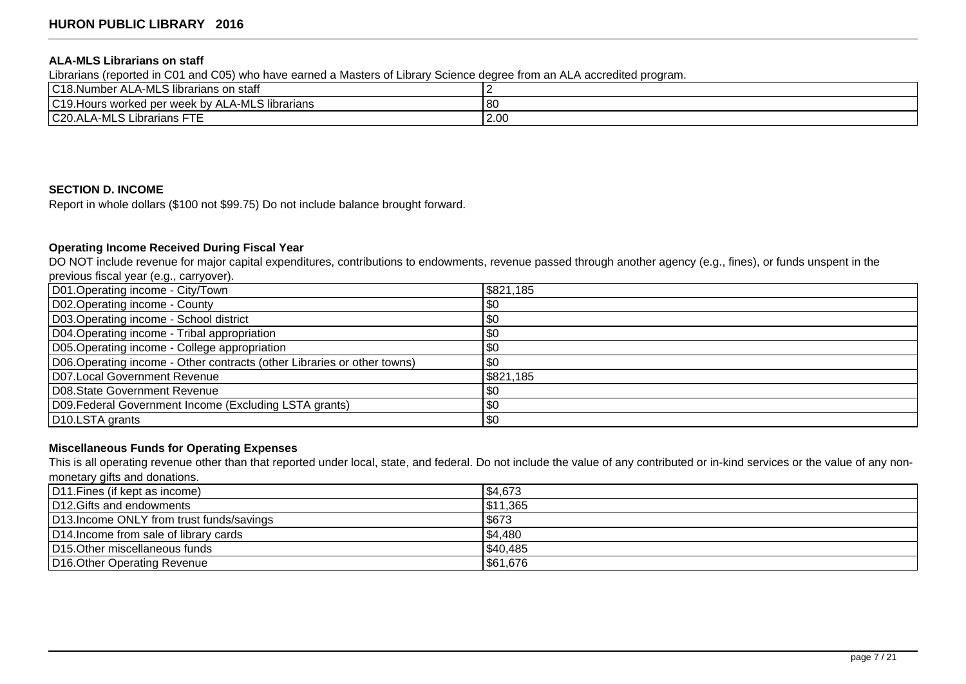### **ALA-MLS Librarians on staff**

Librarians (reported in C01 and C05) who have earned a Masters of Library Science degree from an ALA accredited program.

| C18.Number<br>ALA-MLS librarians on staff                                                               |      |
|---------------------------------------------------------------------------------------------------------|------|
| 1010L<br>.∟A-MLS ا<br>librarians<br>s worked per week bv<br>$\Delta$ hij $\Delta$ l<br>IC19.Hours<br>◝◣ | '80  |
| C20.ALA-MLS Librarians FTE                                                                              | 2.00 |

## **SECTION D. INCOME**

Report in whole dollars (\$100 not \$99.75) Do not include balance brought forward.

# **Operating Income Received During Fiscal Year**

DO NOT include revenue for major capital expenditures, contributions to endowments, revenue passed through another agency (e.g., fines), or funds unspent in the previous fiscal year (e.g., carryover).

| D01.Operating income - City/Town                                         | \$821,185 |
|--------------------------------------------------------------------------|-----------|
| D02. Operating income - County                                           | \$0       |
| D03.Operating income - School district                                   | \$0       |
| D04. Operating income - Tribal appropriation                             | \$0       |
| D05. Operating income - College appropriation                            | \$0       |
| D06. Operating income - Other contracts (other Libraries or other towns) | \$0       |
| D07.Local Government Revenue                                             | \$821,185 |
| D08. State Government Revenue                                            | \$0       |
| D09. Federal Government Income (Excluding LSTA grants)                   | \$0       |
| D <sub>10</sub> .LSTA grants                                             | \$0       |

### **Miscellaneous Funds for Operating Expenses**

This is all operating revenue other than that reported under local, state, and federal. Do not include the value of any contributed or in-kind services or the value of any nonmonetary gifts and donations.

| D11. Fines (if kept as income)            | \$4,673  |
|-------------------------------------------|----------|
| D12. Gifts and endowments                 | \$11,365 |
| D13. Income ONLY from trust funds/savings | \$673    |
| D14. Income from sale of library cards    | \$4,480  |
| D15. Other miscellaneous funds            | \$40,485 |
| D16. Other Operating Revenue              | \$61,676 |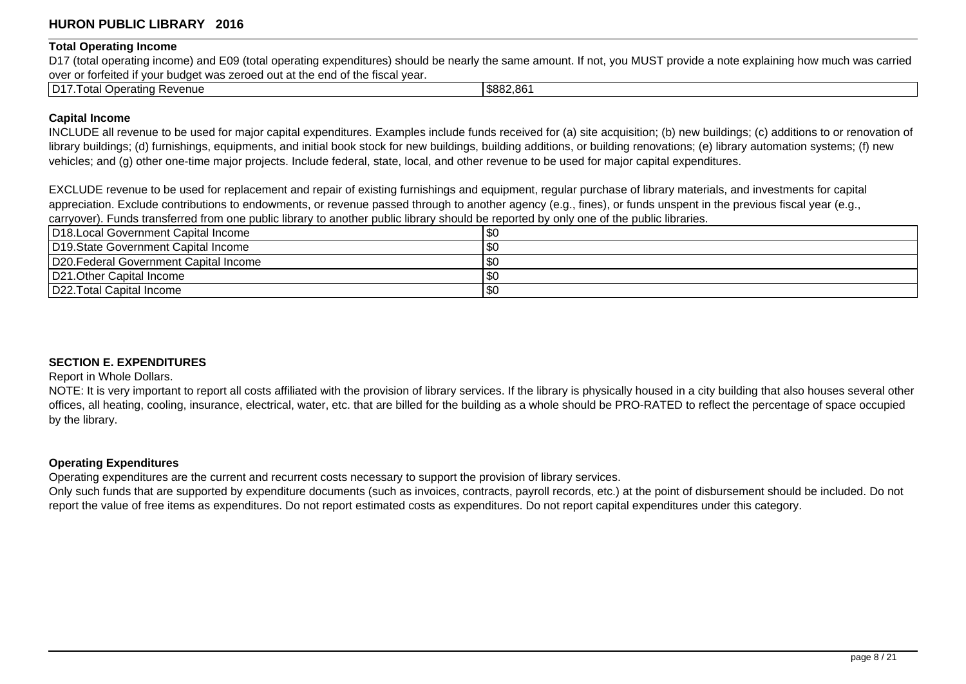### **Total Operating Income**

D17 (total operating income) and E09 (total operating expenditures) should be nearly the same amount. If not, you MUST provide a note explaining how much was carried over or forfeited if your budget was zeroed out at the end of the fiscal year.

| $ D17\rangle$<br>Revenue<br>otal<br>Operating | \$882.861 |
|-----------------------------------------------|-----------|
|                                               |           |

## **Capital Income**

INCLUDE all revenue to be used for major capital expenditures. Examples include funds received for (a) site acquisition; (b) new buildings; (c) additions to or renovation of library buildings; (d) furnishings, equipments, and initial book stock for new buildings, building additions, or building renovations; (e) library automation systems; (f) new vehicles; and (g) other one-time major projects. Include federal, state, local, and other revenue to be used for major capital expenditures.

EXCLUDE revenue to be used for replacement and repair of existing furnishings and equipment, regular purchase of library materials, and investments for capital appreciation. Exclude contributions to endowments, or revenue passed through to another agency (e.g., fines), or funds unspent in the previous fiscal year (e.g., carryover). Funds transferred from one public library to another public library should be reported by only one of the public libraries.

| D18. Local Government Capital Income   | l \$0 |
|----------------------------------------|-------|
| D19. State Government Capital Income   | l \$0 |
| D20. Federal Government Capital Income | l \$0 |
| D21. Other Capital Income              | l \$0 |
| D22. Total Capital Income              | \$0   |

## **SECTION E. EXPENDITURES**

Report in Whole Dollars.

NOTE: It is very important to report all costs affiliated with the provision of library services. If the library is physically housed in a city building that also houses several other offices, all heating, cooling, insurance, electrical, water, etc. that are billed for the building as a whole should be PRO-RATED to reflect the percentage of space occupied by the library.

## **Operating Expenditures**

Operating expenditures are the current and recurrent costs necessary to support the provision of library services.

Only such funds that are supported by expenditure documents (such as invoices, contracts, payroll records, etc.) at the point of disbursement should be included. Do not report the value of free items as expenditures. Do not report estimated costs as expenditures. Do not report capital expenditures under this category.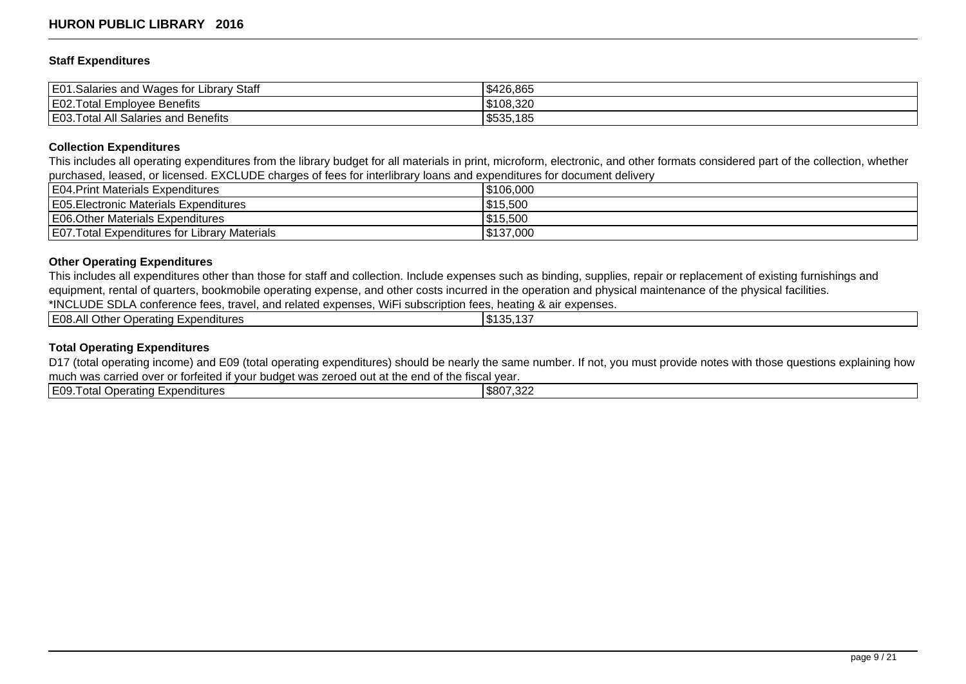### **Staff Expenditures**

| E01<br>Library Staff<br>.<br>l Wages for L<br>1.Salaries and | \$426,865 |
|--------------------------------------------------------------|-----------|
| E02.Total<br>-<br>I Employee Benefits                        | \$108,320 |
| E03.T<br>l Salaries and Benefits<br>. otal<br>All            | \$535,185 |

#### **Collection Expenditures**

This includes all operating expenditures from the library budget for all materials in print, microform, electronic, and other formats considered part of the collection, whether purchased, leased, or licensed. EXCLUDE charges of fees for interlibrary loans and expenditures for document delivery

| <b>E04. Print Materials Expenditures</b>             | IS106.000  |
|------------------------------------------------------|------------|
| E05. Electronic Materials Expenditures               | \$15,500   |
| E06. Other Materials Expenditures                    | \$15,500   |
| <b>E07. Total Expenditures for Library Materials</b> | 1\$137,000 |

## **Other Operating Expenditures**

This includes all expenditures other than those for staff and collection. Include expenses such as binding, supplies, repair or replacement of existing furnishings and equipment, rental of quarters, bookmobile operating expense, and other costs incurred in the operation and physical maintenance of the physical facilities.

\*INCLUDE SDLA conference fees, travel, and related expenses, WiFi subscription fees, heating & air expenses.

| א∩⊒ !<br>.<br>Other<br>Expenditures<br>Operating $\vdash$<br>– ∪o∴<br>`А⊪.<br>. | 125<br>$\sim$<br>m 4<br>.D.<br>. ن.<br>1 J.J. |
|---------------------------------------------------------------------------------|-----------------------------------------------|
|                                                                                 |                                               |

## **Total Operating Expenditures**

D17 (total operating income) and E09 (total operating expenditures) should be nearly the same number. If not, you must provide notes with those questions explaining how much was carried over or forfeited if your budget was zeroed out at the end of the fiscal year.

| <b>1700</b><br>. | IE09T<br>.<br>-xpenditures<br>$\sim$<br>Joeratino<br><b>Ulc</b> | $\sim$ 0.0 $\sim$<br>ന റ റ<br>ווחת |
|------------------|-----------------------------------------------------------------|------------------------------------|
|------------------|-----------------------------------------------------------------|------------------------------------|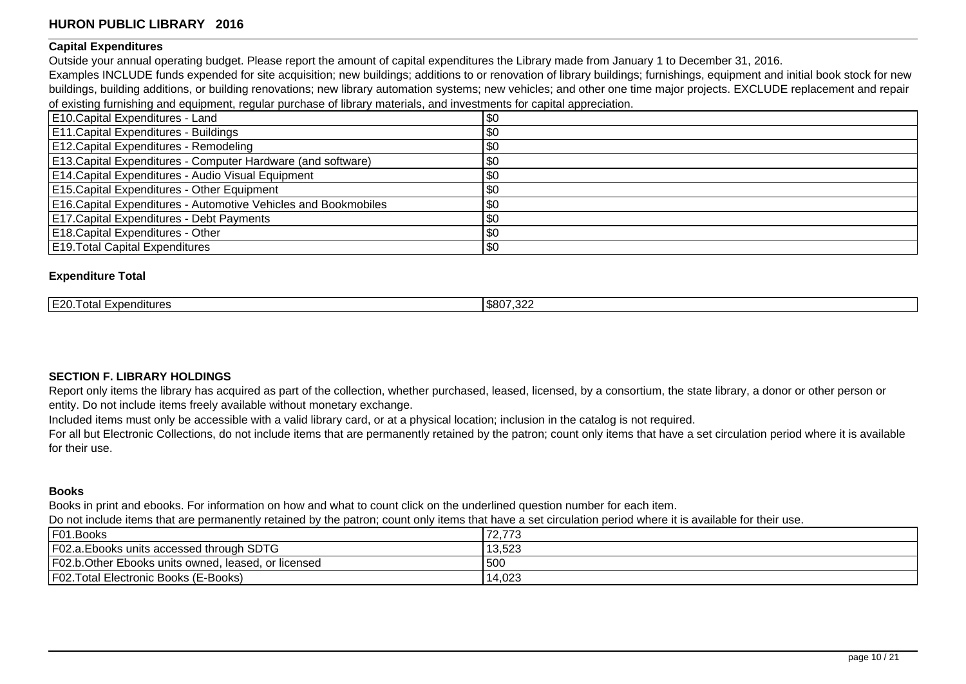## **Capital Expenditures**

Outside your annual operating budget. Please report the amount of capital expenditures the Library made from January 1 to December 31, 2016.

Examples INCLUDE funds expended for site acquisition; new buildings; additions to or renovation of library buildings; furnishings, equipment and initial book stock for new buildings, building additions, or building renovations; new library automation systems; new vehicles; and other one time major projects. EXCLUDE replacement and repair of existing furnishing and equipment, regular purchase of library materials, and investments for capital appreciation.

| E10.Capital Expenditures - Land                                        | \$0 |
|------------------------------------------------------------------------|-----|
| E11. Capital Expenditures - Buildings                                  | \$0 |
| E12. Capital Expenditures - Remodeling                                 | \$0 |
| E13. Capital Expenditures - Computer Hardware (and software)           | \$0 |
| E14. Capital Expenditures - Audio Visual Equipment                     | \$0 |
| E15. Capital Expenditures - Other Equipment                            | \$0 |
| <b>E16. Capital Expenditures - Automotive Vehicles and Bookmobiles</b> | \$0 |
| <b>E17. Capital Expenditures - Debt Payments</b>                       | \$0 |
| E18. Capital Expenditures - Other                                      | \$0 |
| <b>E19. Total Capital Expenditures</b>                                 | \$0 |

## **Expenditure Total**

| $IF20^-$<br>1\$807.32^<br>≒xpenditures<br>. 2.7<br>Uldi<br>ےں ،<br>-- |
|-----------------------------------------------------------------------|
|-----------------------------------------------------------------------|

## **SECTION F. LIBRARY HOLDINGS**

Report only items the library has acquired as part of the collection, whether purchased, leased, licensed, by a consortium, the state library, a donor or other person or entity. Do not include items freely available without monetary exchange.

Included items must only be accessible with a valid library card, or at a physical location; inclusion in the catalog is not required.

For all but Electronic Collections, do not include items that are permanently retained by the patron; count only items that have a set circulation period where it is available for their use.

### **Books**

Books in print and ebooks. For information on how and what to count click on the underlined question number for each item.

Do not include items that are permanently retained by the patron; count only items that have a set circulation period where it is available for their use.

| F01.Books                                            | 72,773 |
|------------------------------------------------------|--------|
| F02.a. Ebooks units accessed through SDTG            | 13,523 |
| F02.b. Other Ebooks units owned, leased, or licensed | 500    |
| <b>F02. Total Electronic Books (E-Books)</b>         | 14,023 |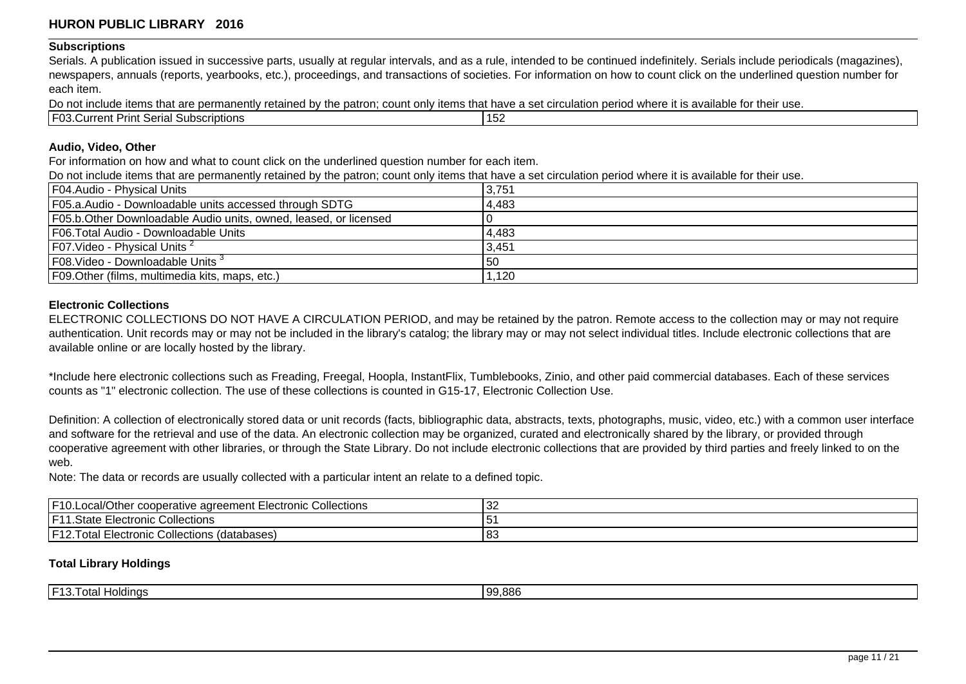#### **Subscriptions**

Serials. A publication issued in successive parts, usually at regular intervals, and as a rule, intended to be continued indefinitely. Serials include periodicals (magazines), newspapers, annuals (reports, yearbooks, etc.), proceedings, and transactions of societies. For information on how to count click on the underlined question number for each item.

Do not include items that are permanently retained by the patron; count only items that have a set circulation period where it is available for their use.

| …∼⊓ ا<br>∶oriol<br>.<br>71 H I V<br>ו ה | ubscriptions |  |  | .<br>1 E<br>ىر ، |  |
|-----------------------------------------|--------------|--|--|------------------|--|
|                                         |              |  |  |                  |  |

### **Audio, Video, Other**

For information on how and what to count click on the underlined question number for each item.

Do not include items that are permanently retained by the patron; count only items that have a set circulation period where it is available for their use.

| F04.Audio - Physical Units                                        | 3,751 |
|-------------------------------------------------------------------|-------|
| F05.a.Audio - Downloadable units accessed through SDTG            | 4,483 |
| F05.b. Other Downloadable Audio units, owned, leased, or licensed |       |
| F06. Total Audio - Downloadable Units                             | 4,483 |
| $ F07.V$ ideo - Physical Units <sup>2</sup>                       | 3,451 |
| F08. Video - Downloadable Units <sup>3</sup>                      | l 50  |
| F09. Other (films, multimedia kits, maps, etc.)                   | 1,120 |

### **Electronic Collections**

ELECTRONIC COLLECTIONS DO NOT HAVE A CIRCULATION PERIOD, and may be retained by the patron. Remote access to the collection may or may not require authentication. Unit records may or may not be included in the library's catalog; the library may or may not select individual titles. Include electronic collections that are available online or are locally hosted by the library.

\*Include here electronic collections such as Freading, Freegal, Hoopla, InstantFlix, Tumblebooks, Zinio, and other paid commercial databases. Each of these services counts as "1" electronic collection. The use of these collections is counted in G15-17, Electronic Collection Use.

Definition: A collection of electronically stored data or unit records (facts, bibliographic data, abstracts, texts, photographs, music, video, etc.) with a common user interface and software for the retrieval and use of the data. An electronic collection may be organized, curated and electronically shared by the library, or provided through cooperative agreement with other libraries, or through the State Library. Do not include electronic collections that are provided by third parties and freely linked to on the web.

Note: The data or records are usually collected with a particular intent an relate to a defined topic.

| IETO<br>.Local/Other<br><sup>1</sup> cooperative agreement Electronic Collections <sup>1</sup> | ےت |
|------------------------------------------------------------------------------------------------|----|
| I E 11<br>Collections<br><b>Electronic</b><br>$+$ nto $\sim$<br><b>Pidit</b>                   | ີ  |
| I E 1 つ<br>i Electronic Collections (databases).<br>otal<br>. <u>.</u>                         | 83 |

### **Total Library Holdings**

| I ⊏4 2 T<br>$\sim$<br>Haldinae<br>-<br>אוטר<br>ua<br> | 99.886 |
|-------------------------------------------------------|--------|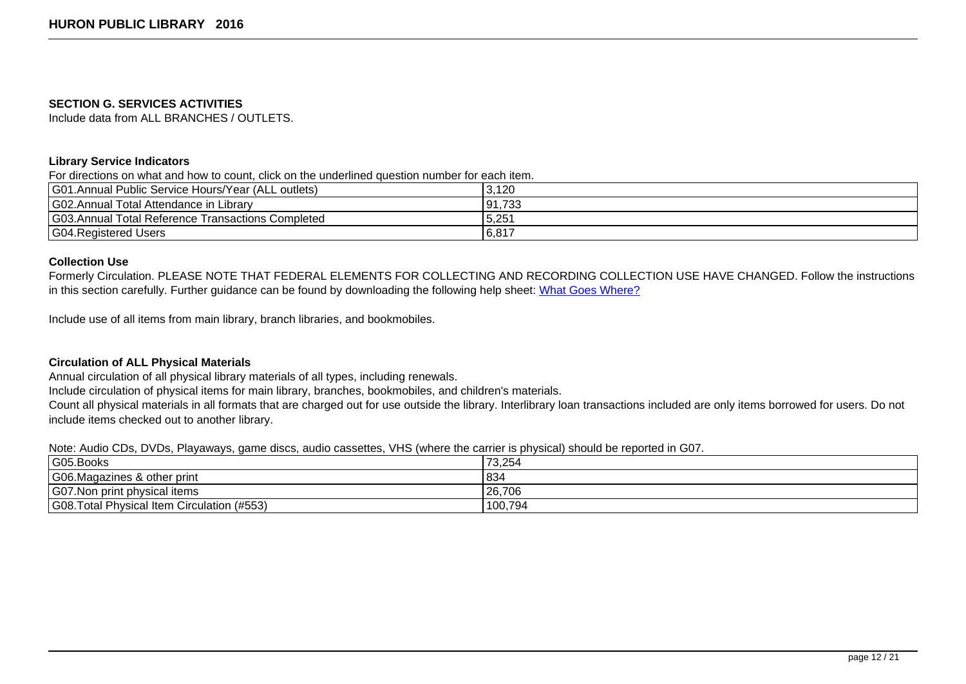#### **SECTION G. SERVICES ACTIVITIES**

Include data from ALL BRANCHES / OUTLETS.

## **Library Service Indicators**

For directions on what and how to count, click on the underlined question number for each item.

| G01.Annual Public Service Hours/Year (ALL outlets) | 3,120  |
|----------------------------------------------------|--------|
| G02.Annual Total Attendance in Library             | 91,733 |
| G03.Annual Total Reference Transactions Completed  | 5,251  |
| G04. Registered Users                              | 6,817  |

### **Collection Use**

Formerly Circulation. PLEASE NOTE THAT FEDERAL ELEMENTS FOR COLLECTING AND RECORDING COLLECTION USE HAVE CHANGED. Follow the instructions in this section carefully. Further guidance can be found by downloading the following help sheet: [What Goes Where?](https://sd.countingopinions.com/docs/sd/What_Goes_Where_2016.pdf)

Include use of all items from main library, branch libraries, and bookmobiles.

## **Circulation of ALL Physical Materials**

Annual circulation of all physical library materials of all types, including renewals.

Include circulation of physical items for main library, branches, bookmobiles, and children's materials.

Count all physical materials in all formats that are charged out for use outside the library. Interlibrary loan transactions included are only items borrowed for users. Do not include items checked out to another library.

Note: Audio CDs, DVDs, Playaways, game discs, audio cassettes, VHS (where the carrier is physical) should be reported in G07.

| G05.Books                                       | 73,254  |
|-------------------------------------------------|---------|
| G06.Magazines & other print                     | 834     |
| G07. Non print physical items                   | 26,706  |
| G08.Total Physical<br>I Item Circulation (#553) | 100,794 |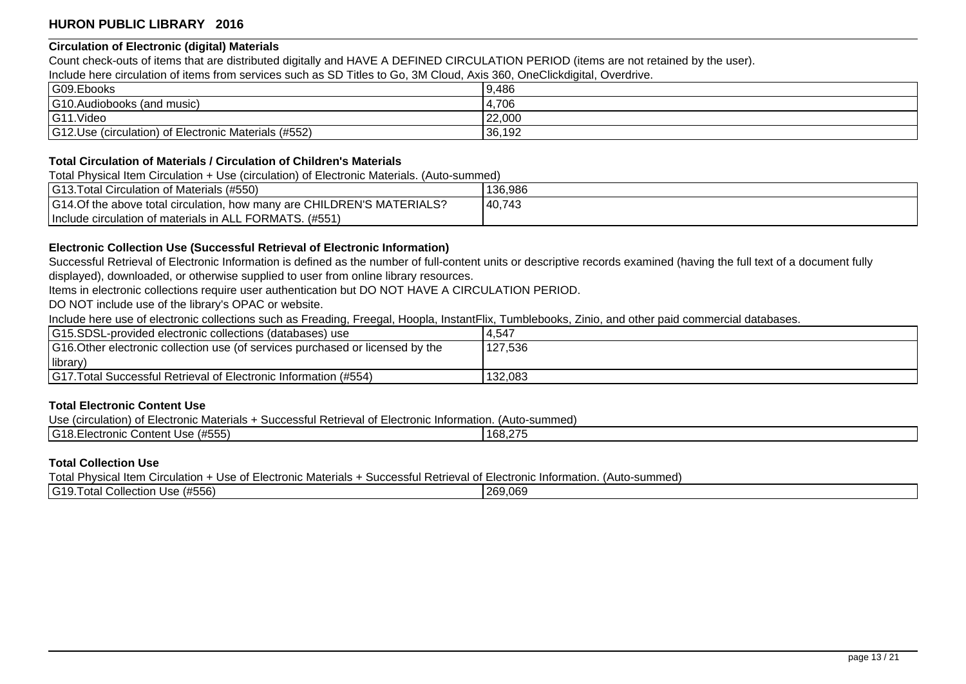## **Circulation of Electronic (digital) Materials**

Count check-outs of items that are distributed digitally and HAVE A DEFINED CIRCULATION PERIOD (items are not retained by the user).

Include here circulation of items from services such as SD Titles to Go, 3M Cloud, Axis 360, OneClickdigital, Overdrive.

| G09.Ebooks                                           | 9,486  |
|------------------------------------------------------|--------|
| G10.Audiobooks (and music)                           | 4,706  |
| G11.Video                                            | 22,000 |
| G12.Use (circulation) of Electronic Materials (#552) | 36,192 |

### **Total Circulation of Materials / Circulation of Children's Materials**

Total Physical Item Circulation + Use (circulation) of Electronic Materials. (Auto-summed)

| <b>G13. Total Circulation of Materials (#550)</b>                      | 136,986 |
|------------------------------------------------------------------------|---------|
| G14.Of the above total circulation, how many are CHILDREN'S MATERIALS? | 40,743  |
| Include circulation of materials in ALL FORMATS. (#551)                |         |

## **Electronic Collection Use (Successful Retrieval of Electronic Information)**

Successful Retrieval of Electronic Information is defined as the number of full-content units or descriptive records examined (having the full text of a document fully displayed), downloaded, or otherwise supplied to user from online library resources.

Items in electronic collections require user authentication but DO NOT HAVE A CIRCULATION PERIOD.

DO NOT include use of the library's OPAC or website.

Include here use of electronic collections such as Freading, Freegal, Hoopla, InstantFlix, Tumblebooks, Zinio, and other paid commercial databases.

| G15.SDSL-provided electronic collections (databases) use                       | 14,547  |
|--------------------------------------------------------------------------------|---------|
| G16. Other electronic collection use (of services purchased or licensed by the | 127,536 |
| library)                                                                       |         |
| <b>Santa Successful Retrieval of Electronic Information (#554)</b>             | 132.083 |

## **Total Electronic Content Use**

Use (circulation) of Electronic Materials + Successful Retrieval of Electronic Information. (Auto-summed)

| IG18      | $\cdots$ $-$  | $\sim$        |
|-----------|---------------|---------------|
| lectronic | Content Use / | $\sim$ $\sim$ |
| $\sim$    | (#555         | 108.Z         |
|           |               |               |

### **Total Collection Use**

Total Physical Item Circulation + Use of Electronic Materials + Successful Retrieval of Electronic Information. (Auto-summed)

| $IG19^-$<br>$\cdots$ $  \cdots$<br>∴ Collection !<br>۱ اده<br>$\sim$<br>USE (#556)<br>ola <sup>,</sup> | 269,069 |
|--------------------------------------------------------------------------------------------------------|---------|
|                                                                                                        |         |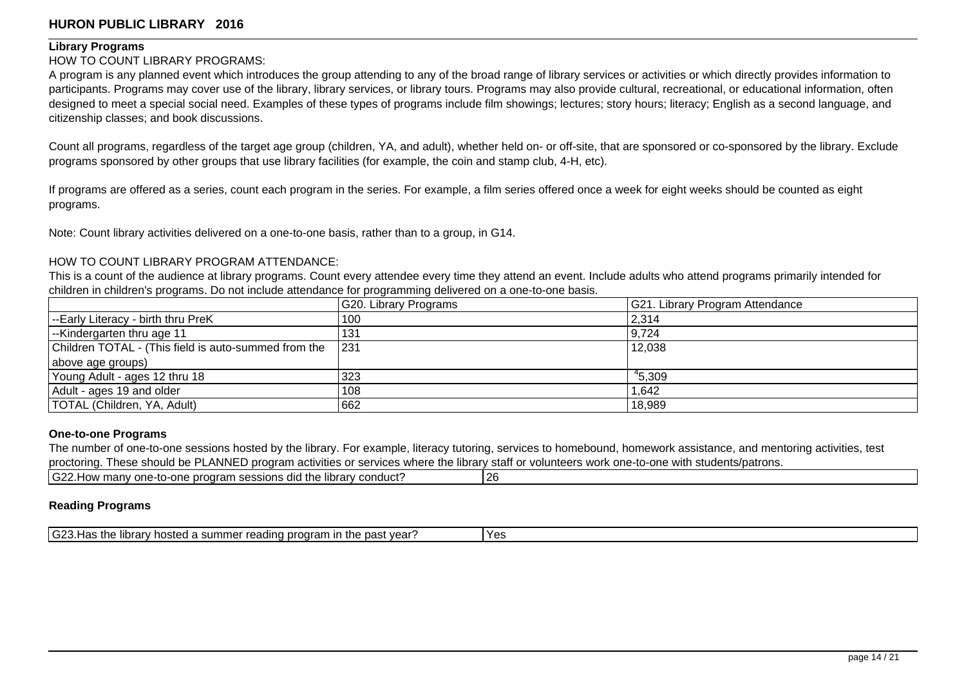#### **Library Programs**

### HOW TO COUNT LIBRARY PROGRAMS:

A program is any planned event which introduces the group attending to any of the broad range of library services or activities or which directly provides information to participants. Programs may cover use of the library, library services, or library tours. Programs may also provide cultural, recreational, or educational information, often designed to meet a special social need. Examples of these types of programs include film showings; lectures; story hours; literacy; English as a second language, and citizenship classes; and book discussions.

Count all programs, regardless of the target age group (children, YA, and adult), whether held on- or off-site, that are sponsored or co-sponsored by the library. Exclude programs sponsored by other groups that use library facilities (for example, the coin and stamp club, 4-H, etc).

If programs are offered as a series, count each program in the series. For example, a film series offered once a week for eight weeks should be counted as eight programs.

Note: Count library activities delivered on a one-to-one basis, rather than to a group, in G14.

### HOW TO COUNT LIBRARY PROGRAM ATTENDANCE:

This is a count of the audience at library programs. Count every attendee every time they attend an event. Include adults who attend programs primarily intended for children in children's programs. Do not include attendance for programming delivered on a one-to-one basis.

|                                                      | G20. Library Programs | G21. Library Program Attendance |
|------------------------------------------------------|-----------------------|---------------------------------|
| --Early Literacy - birth thru PreK                   | 100                   | 2,314                           |
| -Kindergarten thru age 11                            | 131                   | 9,724                           |
| Children TOTAL - (This field is auto-summed from the | 1231                  | 12,038                          |
| above age groups)                                    |                       |                                 |
| Young Adult - ages 12 thru 18                        | 323                   | 45,309                          |
| Adult - ages 19 and older                            | 108                   | 1,642                           |
| <b>TOTAL (Children, YA, Adult)</b>                   | 662                   | 18,989                          |

### **One-to-one Programs**

The number of one-to-one sessions hosted by the library. For example, literacy tutoring, services to homebound, homework assistance, and mentoring activities, test proctoring. These should be PLANNED program activities or services where the library staff or volunteers work one-to-one with students/patrons.

| $\sim$<br>. library conduct?<br>; did the<br>e program sessions d<br>many one-to-one?<br>.How<br>I GZZ. | 26 |
|---------------------------------------------------------------------------------------------------------|----|
|                                                                                                         |    |

## **Reading Programs**

| $\sim$<br>Yes<br>the<br>program<br>.<br>past vear<br>u summer<br>mrary nosted a<br>tne<br>ک⊿ت ا<br>$\sim$<br>vear.<br>лиитан<br>ли аг<br>.<br>.<br>. |
|------------------------------------------------------------------------------------------------------------------------------------------------------|
|------------------------------------------------------------------------------------------------------------------------------------------------------|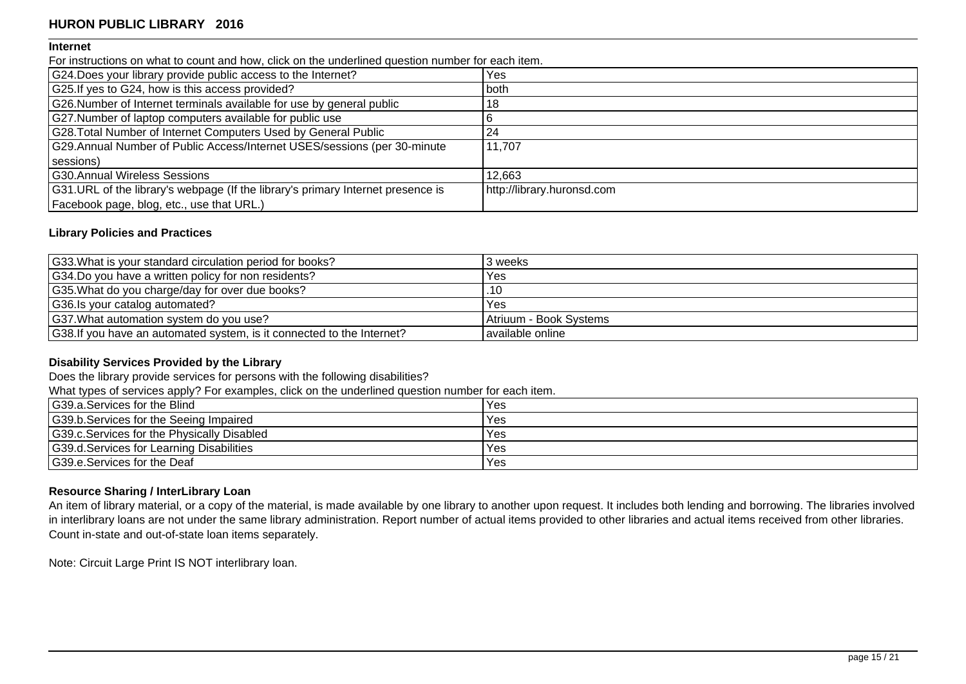### **Internet**

For instructions on what to count and how, click on the underlined question number for each item.

| G24. Does your library provide public access to the Internet?                   | Yes                        |
|---------------------------------------------------------------------------------|----------------------------|
| G25. If yes to G24, how is this access provided?                                | both                       |
| G26.Number of Internet terminals available for use by general public            | 18                         |
| G27. Number of laptop computers available for public use                        |                            |
| G28. Total Number of Internet Computers Used by General Public                  | 24                         |
| G29.Annual Number of Public Access/Internet USES/sessions (per 30-minute        | 11,707                     |
| sessions)                                                                       |                            |
| G30.Annual Wireless Sessions                                                    | 12,663                     |
| G31.URL of the library's webpage (If the library's primary Internet presence is | http://library.huronsd.com |
| Facebook page, blog, etc., use that URL.)                                       |                            |

## **Library Policies and Practices**

| G33. What is your standard circulation period for books?               | 3 weeks                  |
|------------------------------------------------------------------------|--------------------------|
| G34.Do you have a written policy for non residents?                    | Yes                      |
| G35. What do you charge/day for over due books?                        | .10                      |
| G36. Is your catalog automated?                                        | Yes                      |
| G37. What automation system do you use?                                | l Atriuum - Book Svstems |
| G38. If you have an automated system, is it connected to the Internet? | l available online       |

## **Disability Services Provided by the Library**

Does the library provide services for persons with the following disabilities?

What types of services apply? For examples, click on the underlined question number for each item.

| G39.a.Services for the Blind               | Yes |
|--------------------------------------------|-----|
| G39.b. Services for the Seeing Impaired    | Yes |
| G39.c.Services for the Physically Disabled | Yes |
| G39.d.Services for Learning Disabilities   | Yes |
| G39.e.Services for the Deaf                | Yes |

## **Resource Sharing / InterLibrary Loan**

An item of library material, or a copy of the material, is made available by one library to another upon request. It includes both lending and borrowing. The libraries involved in interlibrary loans are not under the same library administration. Report number of actual items provided to other libraries and actual items received from other libraries. Count in-state and out-of-state loan items separately.

Note: Circuit Large Print IS NOT interlibrary loan.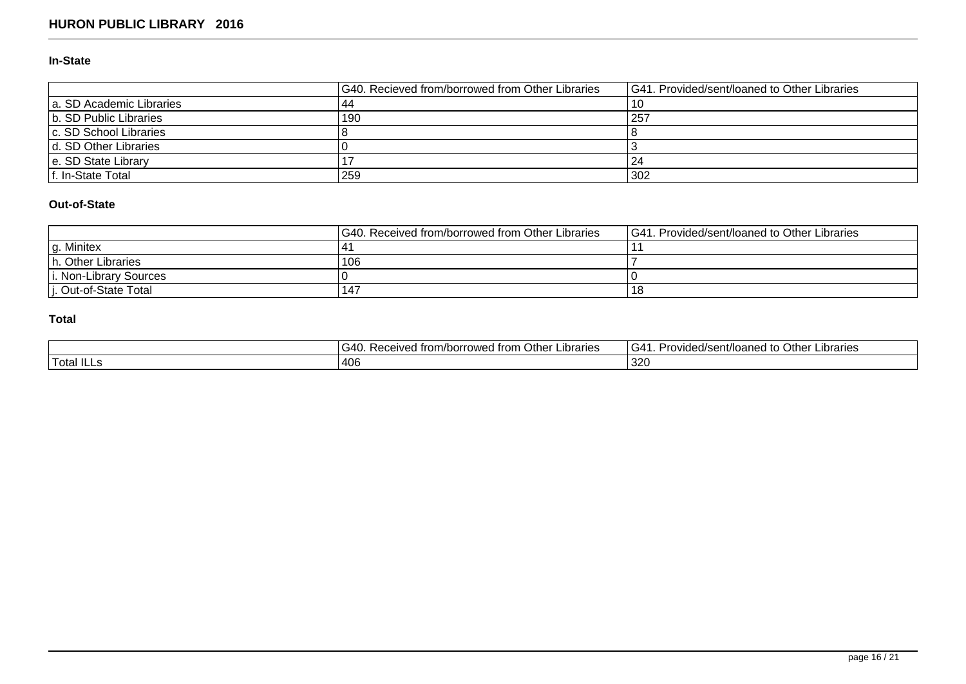## **In-State**

|                          | G40. Recieved from/borrowed from Other Libraries | <b>G41. Provided/sent/loaned to Other Libraries</b> |
|--------------------------|--------------------------------------------------|-----------------------------------------------------|
| a. SD Academic Libraries |                                                  | l 10                                                |
| b. SD Public Libraries   | 190                                              | 257                                                 |
| c. SD School Libraries   |                                                  |                                                     |
| d. SD Other Libraries    |                                                  |                                                     |
| e. SD State Library      |                                                  | 124                                                 |
| f. In-State Total        | 259                                              | 302                                                 |

# **Out-of-State**

|                        | IG40. Received from/borrowed from Other Libraries | <b>IG41. Provided/sent/loaned to Other Libraries</b> |
|------------------------|---------------------------------------------------|------------------------------------------------------|
| lg. Minitex            |                                                   |                                                      |
| h. Other Libraries     | 106                                               |                                                      |
| i. Non-Library Sources |                                                   |                                                      |
| i. Out-of-State Total  | . 147                                             | 18                                                   |

# **Total**

|        | G40.<br>Other I<br>ibraries<br>. Received from/borrowed from <b>(</b> | l G41<br>. Other '<br>.ıbrarıes<br>Provided/sent/loaned to |
|--------|-----------------------------------------------------------------------|------------------------------------------------------------|
| 'Total | 1406                                                                  | חמפי<br>$\overline{\phantom{a}}$<br>ت∟ت ا                  |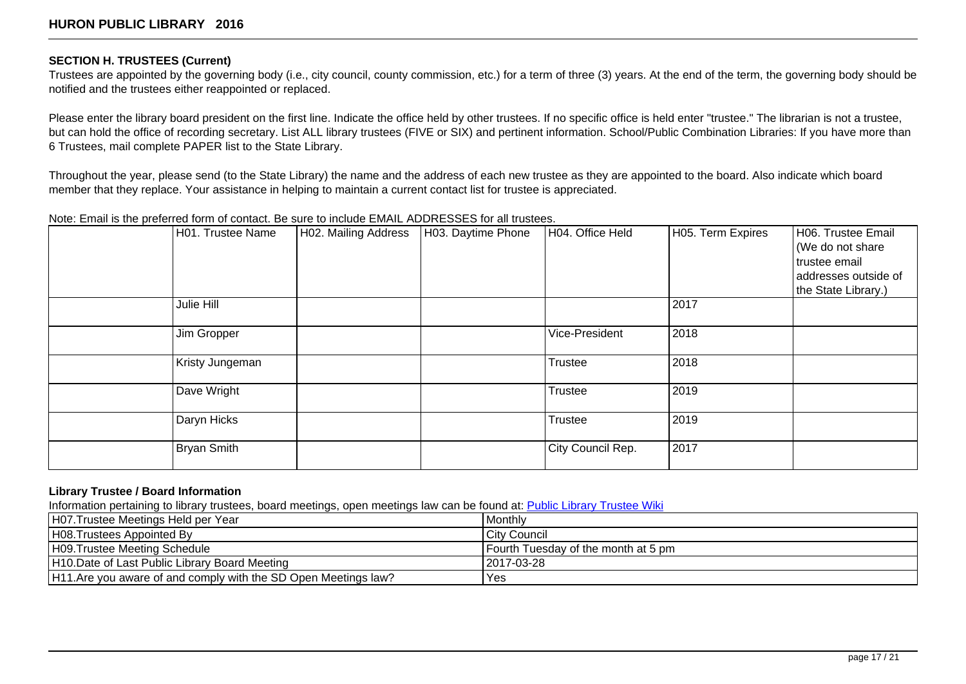## **SECTION H. TRUSTEES (Current)**

Trustees are appointed by the governing body (i.e., city council, county commission, etc.) for a term of three (3) years. At the end of the term, the governing body should be notified and the trustees either reappointed or replaced.

Please enter the library board president on the first line. Indicate the office held by other trustees. If no specific office is held enter "trustee." The librarian is not a trustee, but can hold the office of recording secretary. List ALL library trustees (FIVE or SIX) and pertinent information. School/Public Combination Libraries: If you have more than 6 Trustees, mail complete PAPER list to the State Library.

Throughout the year, please send (to the State Library) the name and the address of each new trustee as they are appointed to the board. Also indicate which board member that they replace. Your assistance in helping to maintain a current contact list for trustee is appreciated.

## Note: Email is the preferred form of contact. Be sure to include EMAIL ADDRESSES for all trustees.

| solor Ennam to this protonical term of contact: Boldard |                    |                      |                    |                   |                   |                      |
|---------------------------------------------------------|--------------------|----------------------|--------------------|-------------------|-------------------|----------------------|
|                                                         | H01. Trustee Name  | H02. Mailing Address | H03. Daytime Phone | H04. Office Held  | H05. Term Expires | H06. Trustee Email   |
|                                                         |                    |                      |                    |                   |                   | We do not share      |
|                                                         |                    |                      |                    |                   |                   | trustee email        |
|                                                         |                    |                      |                    |                   |                   | addresses outside of |
|                                                         |                    |                      |                    |                   |                   | the State Library.)  |
|                                                         | Julie Hill         |                      |                    |                   | 2017              |                      |
|                                                         |                    |                      |                    |                   |                   |                      |
|                                                         | Jim Gropper        |                      |                    | Vice-President    | 2018              |                      |
|                                                         |                    |                      |                    |                   |                   |                      |
|                                                         | Kristy Jungeman    |                      |                    | <b>Trustee</b>    | 2018              |                      |
|                                                         |                    |                      |                    |                   |                   |                      |
|                                                         | Dave Wright        |                      |                    | <b>Trustee</b>    | 2019              |                      |
|                                                         |                    |                      |                    |                   |                   |                      |
|                                                         | Daryn Hicks        |                      |                    | Trustee           | 2019              |                      |
|                                                         |                    |                      |                    |                   |                   |                      |
|                                                         | <b>Bryan Smith</b> |                      |                    | City Council Rep. | 2017              |                      |
|                                                         |                    |                      |                    |                   |                   |                      |

## **Library Trustee / Board Information**

Information pertaining to library trustees, board meetings, open meetings law can be found at: [Public Library Trustee Wiki](http://sdstatelibrary.wikispaces.com/)

| H07.Trustee Meetings Held per Year                              | Monthly                               |
|-----------------------------------------------------------------|---------------------------------------|
| H08. Trustees Appointed By                                      | City Council                          |
| H09.Trustee Meeting Schedule                                    | l Fourth Tuesdav of the month at 5 pm |
| H10.Date of Last Public Library Board Meeting                   | 12017-03-28                           |
| H11. Are you aware of and comply with the SD Open Meetings law? | Yes                                   |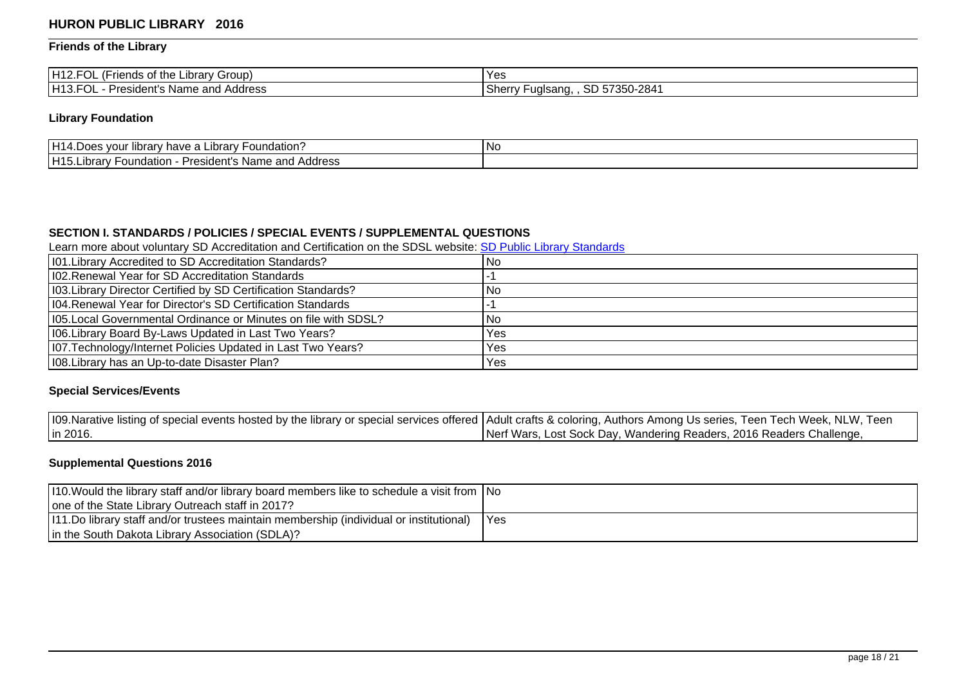# **Friends of the Library**

| $\sqrt{2}$<br>H <sub>12</sub> FOL<br>Librarv Group)<br>(Friends of the<br>UL ( | Yes.          |
|--------------------------------------------------------------------------------|---------------|
| H13.1                                                                          | SD 57350-2841 |
| $\sim$                                                                         | ∴herrٽ        |
| - President's Name and Address                                                 | ' Fugisang.   |
| ∵∪∟                                                                            | .             |

# **Library Foundation**

| H <sub>1</sub><br>Foundation.<br>∖brarv<br>' have<br>ıbrar<br>∴Jes vour ™                                         | .No |
|-------------------------------------------------------------------------------------------------------------------|-----|
| H <sub>15</sub><br>Name<br>Address<br>⊃r∩<br>sident s<br>on.<br>indation<br>∟ıbrar<br>$    -$<br>anu :<br>. כ<br> |     |

# **SECTION I. STANDARDS / POLICIES / SPECIAL EVENTS / SUPPLEMENTAL QUESTIONS**

Learn more about voluntary SD Accreditation and Certification on the SDSL website: [SD Public Library Standards](http://library.sd.gov/LIB/DEV/standards.aspx)

| 101. Library Accredited to SD Accreditation Standards?          | 'No  |
|-----------------------------------------------------------------|------|
| 102. Renewal Year for SD Accreditation Standards                |      |
| 103. Library Director Certified by SD Certification Standards?  | l No |
| 104. Renewal Year for Director's SD Certification Standards     |      |
| 105. Local Governmental Ordinance or Minutes on file with SDSL? | No   |
| 106. Library Board By-Laws Updated in Last Two Years?           | Yes  |
| 107. Technology/Internet Policies Updated in Last Two Years?    | Yes  |
| 108. Library has an Up-to-date Disaster Plan?                   | Yes  |

# **Special Services/Events**

| 109. Narative listing of special events hosted by the library or special services offered   Adult crafts & coloring, Authors Among Us series, Teen Tech Week, NLW, Teen |                                                                      |
|-------------------------------------------------------------------------------------------------------------------------------------------------------------------------|----------------------------------------------------------------------|
| lin 2016.                                                                                                                                                               | Nerf Wars, Lost Sock Day, Wandering Readers, 2016 Readers Challenge, |

# **Supplemental Questions 2016**

| 110. Would the library staff and/or library board members like to schedule a visit from No |      |
|--------------------------------------------------------------------------------------------|------|
| one of the State Library Outreach staff in 2017?                                           |      |
| (111.Do library staff and/or trustees maintain membership (individual or institutional)    | IYes |
| In the South Dakota Library Association (SDLA)?                                            |      |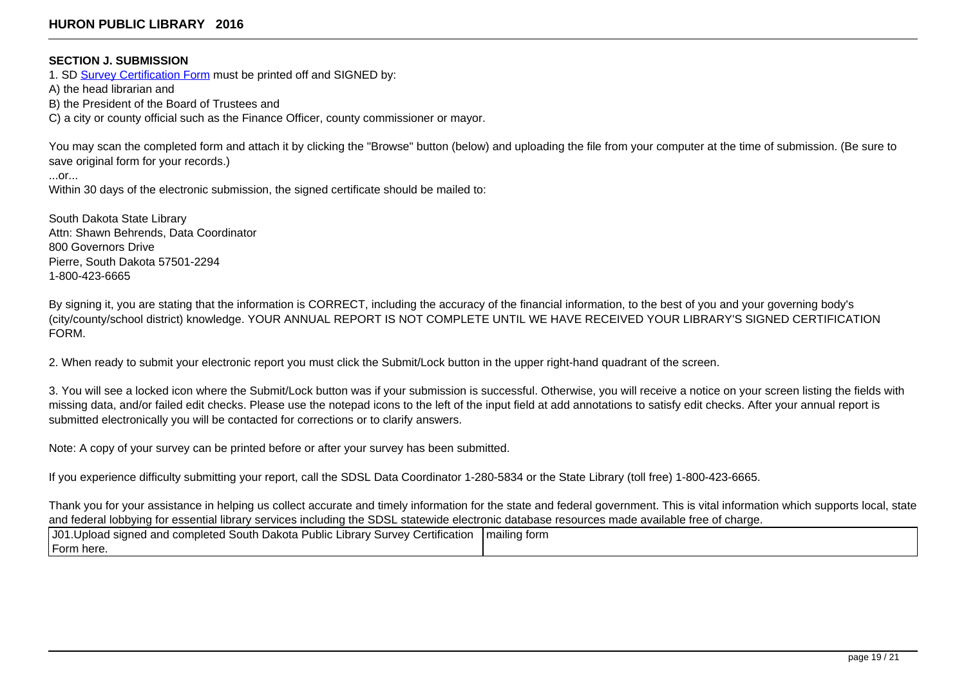## **SECTION J. SUBMISSION**

1. SD [Survey Certification Form](https://sd.countingopinions.com/docs/sd/SD_Survey_Certification_Form_2016.pdf) must be printed off and SIGNED by:

A) the head librarian and

B) the President of the Board of Trustees and

C) a city or county official such as the Finance Officer, county commissioner or mayor.

You may scan the completed form and attach it by clicking the "Browse" button (below) and uploading the file from your computer at the time of submission. (Be sure to save original form for your records.)

...or...

Within 30 days of the electronic submission, the signed certificate should be mailed to:

South Dakota State Library Attn: Shawn Behrends, Data Coordinator 800 Governors Drive Pierre, South Dakota 57501-2294 1-800-423-6665

By signing it, you are stating that the information is CORRECT, including the accuracy of the financial information, to the best of you and your governing body's (city/county/school district) knowledge. YOUR ANNUAL REPORT IS NOT COMPLETE UNTIL WE HAVE RECEIVED YOUR LIBRARY'S SIGNED CERTIFICATION FORM.

2. When ready to submit your electronic report you must click the Submit/Lock button in the upper right-hand quadrant of the screen.

3. You will see a locked icon where the Submit/Lock button was if your submission is successful. Otherwise, you will receive a notice on your screen listing the fields with missing data, and/or failed edit checks. Please use the notepad icons to the left of the input field at add annotations to satisfy edit checks. After your annual report is submitted electronically you will be contacted for corrections or to clarify answers.

Note: A copy of your survey can be printed before or after your survey has been submitted.

If you experience difficulty submitting your report, call the SDSL Data Coordinator 1-280-5834 or the State Library (toll free) 1-800-423-6665.

Thank you for your assistance in helping us collect accurate and timely information for the state and federal government. This is vital information which supports local, state and federal lobbying for essential library services including the SDSL statewide electronic database resources made available free of charge.

| J01.Upload signed and completed South Dakota Public Library Survey Certification  mailing form |  |
|------------------------------------------------------------------------------------------------|--|
| Form here.                                                                                     |  |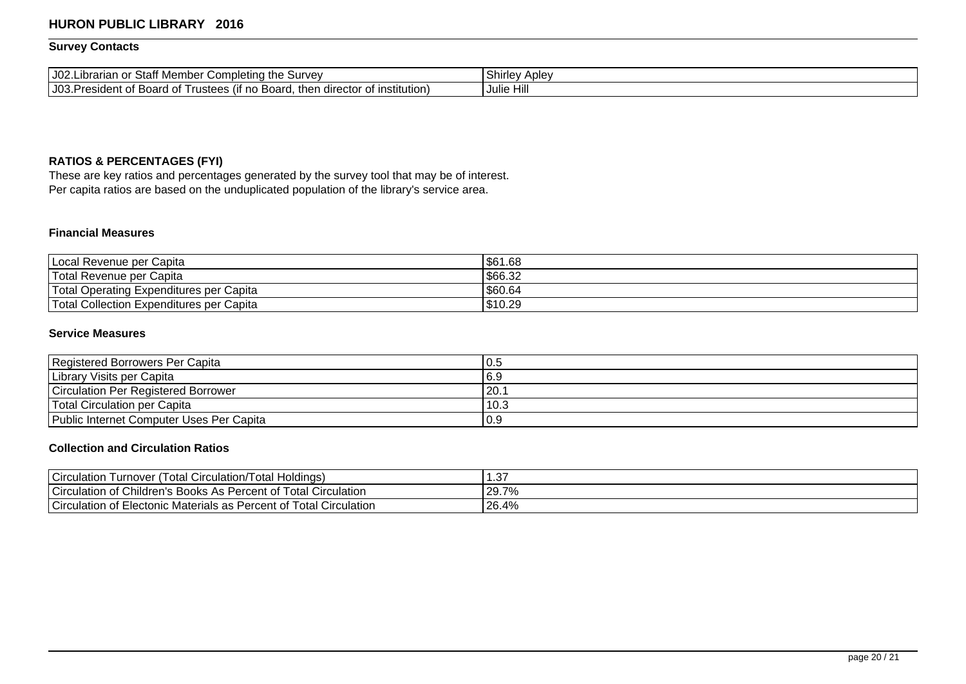# **Survey Contacts**

| J02.Librarian<br>Staff '<br>. Completing the Survev<br>Member<br>or                              | <b>Aple</b><br>hirlev د |
|--------------------------------------------------------------------------------------------------|-------------------------|
| J03. President of Board of<br><br>then<br>∶of institution)<br>Trustees (if no Board.<br>director | ۱۱۵.<br>Julie Hill      |

# **RATIOS & PERCENTAGES (FYI)**

These are key ratios and percentages generated by the survey tool that may be of interest. Per capita ratios are based on the unduplicated population of the library's service area.

# **Financial Measures**

| Local Revenue per Capita                 | \$61.68 |
|------------------------------------------|---------|
| Total Revenue per Capita                 | 566.32  |
| Total Operating Expenditures per Capita  | \$60.64 |
| Total Collection Expenditures per Capita | \$10.29 |

# **Service Measures**

| Registered Borrowers Per Capita            | .U.S |
|--------------------------------------------|------|
| Library Visits per Capita                  | 6.9  |
| <b>Circulation Per Registered Borrower</b> | 20.  |
| Total Circulation per Capita               | 10.3 |
| Public Internet Computer Uses Per Capita   | .0.9 |

# **Collection and Circulation Ratios**

| <b>Circulation</b><br>' Holdings)<br>$\sim$<br>' otal<br>l otal<br>Circulation/ '<br>, urnover                    | $\sim$<br>، ن. |
|-------------------------------------------------------------------------------------------------------------------|----------------|
| <b>Circulation</b><br><sup>1</sup> Circulation<br>Children's<br>f Total<br>Percent of<br>∩'s Books As F<br>. of ' | 29.7%          |
| <b>Circulation</b><br>I Circulation<br><sup>:</sup> Electonic Materials as P<br>⊺otal<br>Percent of<br>ot :       | 26.4%          |